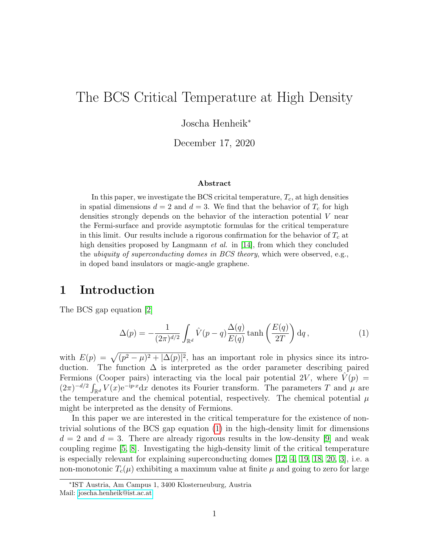# The BCS Critical Temperature at High Density

Joscha Henheik<sup>∗</sup>

December 17, 2020

#### Abstract

In this paper, we investigate the BCS cricital temperature,  $T_c$ , at high densities in spatial dimensions  $d = 2$  and  $d = 3$ . We find that the behavior of  $T_c$  for high densities strongly depends on the behavior of the interaction potential V near the Fermi-surface and provide asymptotic formulas for the critical temperature in this limit. Our results include a rigorous confirmation for the behavior of  $T_c$  at high densities proposed by Langmann  $et$  al. in [\[14\]](#page-14-0), from which they concluded the *ubiquity of superconducting domes in BCS theory*, which were observed, e.g., in doped band insulators or magic-angle graphene.

### 1 Introduction

The BCS gap equation [\[2\]](#page-13-0)

<span id="page-0-0"></span>
$$
\Delta(p) = -\frac{1}{(2\pi)^{d/2}} \int_{\mathbb{R}^d} \hat{V}(p-q) \frac{\Delta(q)}{E(q)} \tanh\left(\frac{E(q)}{2T}\right) dq, \qquad (1)
$$

with  $E(p) = \sqrt{(p^2 - \mu)^2 + |\Delta(p)|^2}$ , has an important role in physics since its introduction. The function  $\Delta$  is interpreted as the order parameter describing paired Fermions (Cooper pairs) interacting via the local pair potential 2V, where  $V(p)$  =  $(2\pi)^{-d/2} \int_{\mathbb{R}^d} V(x) e^{-ip \cdot x} dx$  denotes its Fourier transform. The parameters T and  $\mu$  are the temperature and the chemical potential, respectively. The chemical potential  $\mu$ might be interpreted as the density of Fermions.

In this paper we are interested in the critical temperature for the existence of nontrivial solutions of the BCS gap equation [\(1\)](#page-0-0) in the high-density limit for dimensions  $d = 2$  and  $d = 3$ . There are already rigorous results in the low-density [\[9\]](#page-13-1) and weak coupling regime [\[5,](#page-13-2) [8\]](#page-13-3). Investigating the high-density limit of the critical temperature is especially relevant for explaining superconducting domes [\[12,](#page-13-4) [4,](#page-13-5) [19,](#page-14-1) [18,](#page-14-2) [20,](#page-14-3) [3\]](#page-13-6), i.e. a non-monotonic  $T_c(\mu)$  exhibiting a maximum value at finite  $\mu$  and going to zero for large

<sup>∗</sup> IST Austria, Am Campus 1, 3400 Klosterneuburg, Austria Mail: [joscha.henheik@ist.ac.at](mailto:joscha.henheik@ist.ac.at)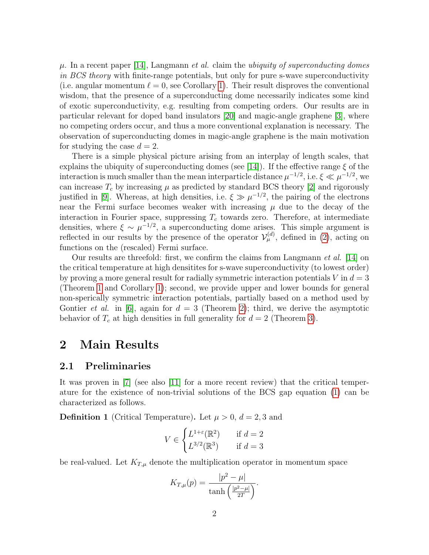$\mu$ . In a recent paper [\[14\]](#page-14-0), Langmann *et al.* claim the *ubiquity of superconducting domes* in BCS theory with finite-range potentials, but only for pure s-wave superconductivity (i.e. angular momentum  $\ell = 0$ , see Corollary [1\)](#page-4-0). Their result disproves the conventional wisdom, that the presence of a superconducting dome necessarily indicates some kind of exotic superconductivity, e.g. resulting from competing orders. Our results are in particular relevant for doped band insulators [\[20\]](#page-14-3) and magic-angle graphene [\[3\]](#page-13-6), where no competing orders occur, and thus a more conventional explanation is necessary. The observation of superconducting domes in magic-angle graphene is the main motivation for studying the case  $d = 2$ .

There is a simple physical picture arising from an interplay of length scales, that explains the ubiquity of superconducting domes (see [\[14\]](#page-14-0)). If the effective range  $\xi$  of the interaction is much smaller than the mean interparticle distance  $\mu^{-1/2}$ , i.e.  $\xi \ll \mu^{-1/2}$ , we can increase  $T_c$  by increasing  $\mu$  as predicted by standard BCS theory [\[2\]](#page-13-0) and rigorously justified in [\[9\]](#page-13-1). Whereas, at high densities, i.e.  $\xi \gg \mu^{-1/2}$ , the pairing of the electrons near the Fermi surface becomes weaker with increasing  $\mu$  due to the decay of the interaction in Fourier space, suppressing  $T_c$  towards zero. Therefore, at intermediate densities, where  $\xi \sim \mu^{-1/2}$ , a superconducting dome arises. This simple argument is reflected in our results by the presence of the operator  $\mathcal{V}_{\mu}^{(d)}$ , defined in [\(2\)](#page-2-0), acting on functions on the (rescaled) Fermi surface.

Our results are threefold: first, we confirm the claims from Langmann et al. [\[14\]](#page-14-0) on the critical temperature at high densitites for s-wave superconductivity (to lowest order) by proving a more general result for radially symmetric interaction potentials V in  $d = 3$ (Theorem [1](#page-3-0) and Corollary [1\)](#page-4-0); second, we provide upper and lower bounds for general non-sperically symmetric interaction potentials, partially based on a method used by Gontier *et al.* in [\[6\]](#page-13-7), again for  $d = 3$  (Theorem [2\)](#page-4-1); third, we derive the asymptotic behavior of  $T_c$  at high densities in full generality for  $d = 2$  (Theorem [3\)](#page-5-0).

### 2 Main Results

#### 2.1 Preliminaries

It was proven in [\[7\]](#page-13-8) (see also [\[11\]](#page-13-9) for a more recent review) that the critical temperature for the existence of non-trivial solutions of the BCS gap equation [\(1\)](#page-0-0) can be characterized as follows.

<span id="page-1-0"></span>**Definition 1** (Critical Temperature). Let  $\mu > 0$ ,  $d = 2, 3$  and

$$
V \in \begin{cases} L^{1+\varepsilon}(\mathbb{R}^2) & \text{if } d = 2\\ L^{3/2}(\mathbb{R}^3) & \text{if } d = 3 \end{cases}
$$

be real-valued. Let  $K_{T,\mu}$  denote the multiplication operator in momentum space

$$
K_{T,\mu}(p) = \frac{|p^2 - \mu|}{\tanh\left(\frac{|p^2 - \mu|}{2T}\right)}.
$$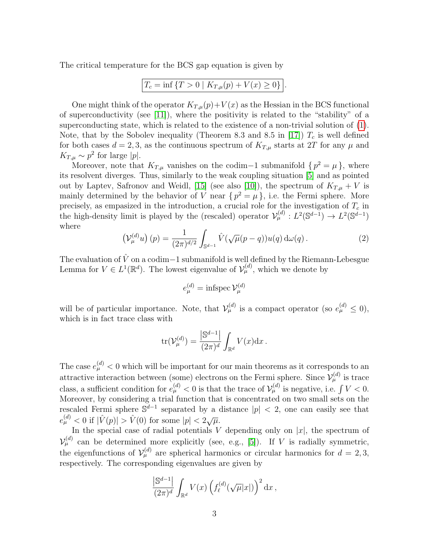The critical temperature for the BCS gap equation is given by

$$
T_c = \inf \{ T > 0 \mid K_{T,\mu}(p) + V(x) \ge 0 \}.
$$

One might think of the operator  $K_{T,\mu}(p)+V(x)$  as the Hessian in the BCS functional of superconductivity (see [\[11\]](#page-13-9)), where the positivity is related to the "stability" of a superconducting state, which is related to the existence of a non-trivial solution of [\(1\)](#page-0-0). Note, that by the Sobolev inequality (Theorem 8.3 and 8.5 in [\[17\]](#page-14-4))  $T_c$  is well defined for both cases  $d = 2, 3$ , as the continuous spectrum of  $K_{T,\mu}$  starts at 2T for any  $\mu$  and  $K_{T,\mu} \sim p^2$  for large |p|.

Moreover, note that  $K_{T,\mu}$  vanishes on the codim−1 submanifold  $\{p^2 = \mu\}$ , where its resolvent diverges. Thus, similarly to the weak coupling situation [\[5\]](#page-13-2) and as pointed out by Laptev, Safronov and Weidl, [\[15\]](#page-14-5) (see also [\[10\]](#page-13-10)), the spectrum of  $K_{T,u} + V$  is mainly determined by the behavior of V near  $\{p^2 = \mu\}$ , i.e. the Fermi sphere. More precisely, as empasized in the introduction, a crucial role for the investigation of  $T_c$  in the high-density limit is played by the (rescaled) operator  $\mathcal{V}_{\mu}^{(d)} : L^2(\mathbb{S}^{d-1}) \to L^2(\mathbb{S}^{d-1})$ where

<span id="page-2-0"></span>
$$
\left(\mathcal{V}_{\mu}^{(d)}u\right)(p) = \frac{1}{(2\pi)^{d/2}} \int_{\mathbb{S}^{d-1}} \hat{V}(\sqrt{\mu}(p-q))u(q) d\omega(q).
$$
 (2)

The evaluation of  $\hat{V}$  on a codim−1 submanifold is well defined by the Riemann-Lebesgue Lemma for  $V \in L^1(\mathbb{R}^d)$ . The lowest eigenvalue of  $\mathcal{V}_{\mu}^{(d)}$ , which we denote by

$$
e_{\mu}^{(d)} = \text{infspec } \mathcal{V}_{\mu}^{(d)}
$$

will be of particular importance. Note, that  $\mathcal{V}_{\mu}^{(d)}$  is a compact operator (so  $e_{\mu}^{(d)} \leq 0$ ), which is in fact trace class with

$$
\operatorname{tr}(\mathcal{V}_{\mu}^{(d)}) = \frac{\left| \mathbb{S}^{d-1} \right|}{(2\pi)^d} \int_{\mathbb{R}^d} V(x) \mathrm{d} x.
$$

The case  $e_{\mu}^{(d)} < 0$  which will be important for our main theorems as it corresponds to an attractive interaction between (some) electrons on the Fermi sphere. Since  $\mathcal{V}_{\mu}^{(d)}$  is trace class, a sufficient condition for  $e_{\mu}^{(d)} < 0$  is that the trace of  $\mathcal{V}_{\mu}^{(d)}$  is negative, i.e.  $\int V < 0$ . Moreover, by considering a trial function that is concentrated on two small sets on the rescaled Fermi sphere  $\mathbb{S}^{d-1}$  separated by a distance  $|p| < 2$ , one can easily see that  $e_{\mu}^{(d)} < 0$  if  $|\hat{V}(p)| > \hat{V}(0)$  for some  $|p| < 2\sqrt{\mu}$ .

In the special case of radial potentials V depending only on  $|x|$ , the spectrum of  $\mathcal{V}_{\mu}^{(d)}$  can be determined more explicitly (see, e.g., [\[5\]](#page-13-2)). If V is radially symmetric, the eigenfunctions of  $\mathcal{V}_{\mu}^{(d)}$  are spherical harmonics or circular harmonics for  $d=2,3,$ respectively. The corresponding eigenvalues are given by

$$
\frac{\left| \mathbb{S}^{d-1} \right|}{(2\pi)^d} \int_{\mathbb{R}^d} V(x) \left( f_{\ell}^{(d)}(\sqrt{\mu}|x|) \right)^2 dx ,
$$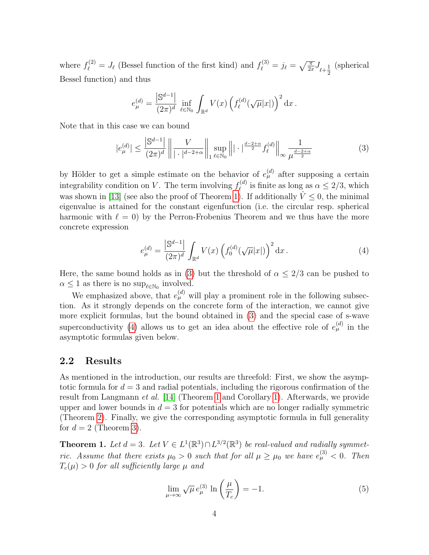where  $f_{\ell}^{(2)} = J_{\ell}$  (Bessel function of the first kind) and  $f_{\ell}^{(3)} = j_{\ell} = \sqrt{\frac{\pi}{2x}} J_{\ell + \frac{1}{2x}}$ 2 (spherical Bessel function) and thus

$$
e_{\mu}^{(d)} = \frac{\left| \mathbb{S}^{d-1} \right|}{(2\pi)^d} \inf_{\ell \in \mathbb{N}_0} \int_{\mathbb{R}^d} V(x) \left( f_{\ell}^{(d)}(\sqrt{\mu}|x|) \right)^2 dx.
$$

Note that in this case we can bound

<span id="page-3-1"></span>
$$
|e_{\mu}^{(d)}| \le \frac{\left|\mathbb{S}^{d-1}\right|}{(2\pi)^d} \left\| \frac{V}{|\cdot|^{d-2+\alpha}} \right\|_{1} \sup_{\ell \in \mathbb{N}_0} \left\| |\cdot|^{\frac{d-2+\alpha}{2}} f_{\ell}^{(d)} \right\|_{\infty} \frac{1}{\mu^{\frac{d-2+\alpha}{2}}} \tag{3}
$$

by Hölder to get a simple estimate on the behavior of  $e_{\mu}^{(d)}$  after supposing a certain integrability condition on V. The term involving  $f_{\ell}^{(d)}$  $\ell^{(a)}_{\ell}$  is finite as long as  $\alpha \leq 2/3$ , which was shown in [\[13\]](#page-13-11) (see also the proof of Theorem [1\)](#page-3-0). If additionally  $\hat{V} \leq 0$ , the minimal eigenvalue is attained for the constant eigenfunction (i.e. the circular resp. spherical harmonic with  $\ell = 0$ ) by the Perron-Frobenius Theorem and we thus have the more concrete expression

<span id="page-3-2"></span>
$$
e_{\mu}^{(d)} = \frac{\left| \mathbb{S}^{d-1} \right|}{(2\pi)^{d}} \int_{\mathbb{R}^{d}} V(x) \left( f_{0}^{(d)}(\sqrt{\mu}|x|) \right)^{2} dx.
$$
 (4)

Here, the same bound holds as in [\(3\)](#page-3-1) but the threshold of  $\alpha \leq 2/3$  can be pushed to  $\alpha \leq 1$  as there is no  $\sup_{\ell \in \mathbb{N}_0}$  involved.

We emphasized above, that  $e_{\mu}^{(d)}$  will play a prominent role in the following subsection. As it strongly depends on the concrete form of the interaction, we cannot give more explicit formulas, but the bound obtained in [\(3\)](#page-3-1) and the special case of s-wave superconductivity [\(4\)](#page-3-2) allows us to get an idea about the effective role of  $e_{\mu}^{(d)}$  in the asymptotic formulas given below.

#### 2.2 Results

As mentioned in the introduction, our results are threefold: First, we show the asymptotic formula for  $d = 3$  and radial potentials, including the rigorous confirmation of the result from Langmann et al. [\[14\]](#page-14-0) (Theorem [1](#page-3-0) and Corollary [1\)](#page-4-0). Afterwards, we provide upper and lower bounds in  $d = 3$  for potentials which are no longer radially symmetric (Theorem [2\)](#page-4-1). Finally, we give the corresponding asymptotic formula in full generality for  $d = 2$  (Theorem [3\)](#page-5-0).

<span id="page-3-0"></span>**Theorem 1.** Let  $d = 3$ . Let  $V \in L^1(\mathbb{R}^3) \cap L^{3/2}(\mathbb{R}^3)$  be real-valued and radially symmetric. Assume that there exists  $\mu_0 > 0$  such that for all  $\mu \geq \mu_0$  we have  $e_{\mu}^{(3)} < 0$ . Then  $T_c(\mu) > 0$  for all sufficiently large  $\mu$  and

<span id="page-3-3"></span>
$$
\lim_{\mu \to \infty} \sqrt{\mu} e_{\mu}^{(3)} \ln \left( \frac{\mu}{T_c} \right) = -1. \tag{5}
$$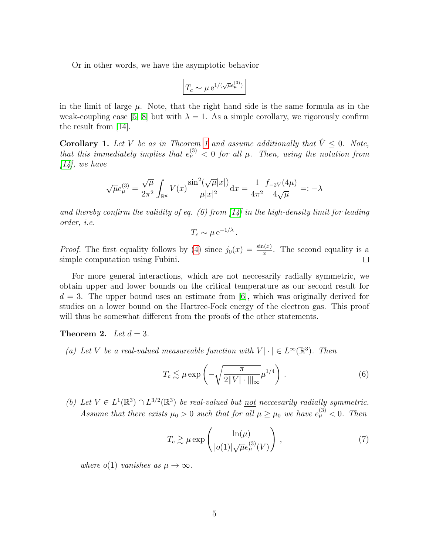Or in other words, we have the asymptotic behavior

$$
\boxed{T_c \sim \mu \,\mathrm{e}^{1/(\sqrt{\mu}e^{(3)}_{\mu})}}
$$

in the limit of large  $\mu$ . Note, that the right hand side is the same formula as in the weak-coupling case [\[5,](#page-13-2) [8\]](#page-13-3) but with  $\lambda = 1$ . As a simple corollary, we rigorously confirm the result from [\[14\]](#page-14-0).

<span id="page-4-0"></span>**Corollary [1](#page-3-0).** Let V be as in Theorem 1 and assume additionally that  $\hat{V} \leq 0$ . Note, that this immediately implies that  $e_{\mu}^{(3)} < 0$  for all  $\mu$ . Then, using the notation from  $[14]$ , we have

$$
\sqrt{\mu}e_{\mu}^{(3)} = \frac{\sqrt{\mu}}{2\pi^2} \int_{\mathbb{R}^d} V(x) \frac{\sin^2(\sqrt{\mu}|x|)}{\mu|x|^2} dx = \frac{1}{4\pi^2} \frac{f_{-2V}(4\mu)}{4\sqrt{\mu}} =: -\lambda
$$

and thereby confirm the validity of eq. (6) from  $\left[14\right]$  in the high-density limit for leading order, i.e.

$$
T_c \sim \mu \,\mathrm{e}^{-1/\lambda} \,.
$$

*Proof.* The first equality follows by [\(4\)](#page-3-2) since  $j_0(x) = \frac{\sin(x)}{x}$ . The second equality is a simple computation using Fubini.  $\Box$ 

For more general interactions, which are not neccesarily radially symmetric, we obtain upper and lower bounds on the critical temperature as our second result for  $d = 3$ . The upper bound uses an estimate from [\[6\]](#page-13-7), which was originally derived for studies on a lower bound on the Hartree-Fock energy of the electron gas. This proof will thus be somewhat different from the proofs of the other statements.

<span id="page-4-1"></span>**Theorem 2.** Let  $d = 3$ .

(a) Let V be a real-valued measureable function with  $V | \cdot | \in L^{\infty}(\mathbb{R}^{3})$ . Then

<span id="page-4-2"></span>
$$
T_c \lesssim \mu \exp\left(-\sqrt{\frac{\pi}{2||V|\cdot|||_{\infty}}}\mu^{1/4}\right). \tag{6}
$$

(b) Let  $V \in L^1(\mathbb{R}^3) \cap L^{3/2}(\mathbb{R}^3)$  be real-valued but <u>not</u> neccesarily radially symmetric. Assume that there exists  $\mu_0 > 0$  such that for all  $\mu \ge \mu_0$  we have  $e^{(3)}_{\mu} < 0$ . Then

<span id="page-4-3"></span>
$$
T_c \gtrsim \mu \exp\left(\frac{\ln(\mu)}{|o(1)|\sqrt{\mu}e^{(3)}_{\mu}(V)}\right),\qquad(7)
$$

where  $o(1)$  vanishes as  $\mu \to \infty$ .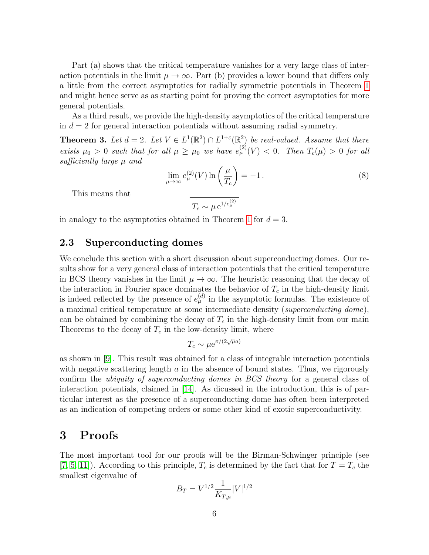Part (a) shows that the critical temperature vanishes for a very large class of interaction potentials in the limit  $\mu \to \infty$ . Part (b) provides a lower bound that differs only a little from the correct asymptotics for radially symmetric potentials in Theorem [1](#page-3-0) and might hence serve as as starting point for proving the correct asymptotics for more general potentials.

As a third result, we provide the high-density asymptotics of the critical temperature in  $d = 2$  for general interaction potentials without assuming radial symmetry.

<span id="page-5-0"></span>**Theorem 3.** Let  $d = 2$ . Let  $V \in L^1(\mathbb{R}^2) \cap L^{1+\epsilon}(\mathbb{R}^2)$  be real-valued. Assume that there exists  $\mu_0 > 0$  such that for all  $\mu \geq \mu_0$  we have  $e_{\mu}^{(2)}(V) < 0$ . Then  $T_c(\mu) > 0$  for all sufficiently large  $\mu$  and

<span id="page-5-1"></span>
$$
\lim_{\mu \to \infty} e_{\mu}^{(2)}(V) \ln \left( \frac{\mu}{T_c} \right) = -1. \tag{8}
$$

This means that

$$
T_c \sim \mu \, \mathrm{e}^{1/e_\mu^{(2)}}
$$

in analogy to the asymptotics obtained in Theorem [1](#page-3-0) for  $d = 3$ .

### 2.3 Superconducting domes

We conclude this section with a short discussion about superconducting domes. Our results show for a very general class of interaction potentials that the critical temperature in BCS theory vanishes in the limit  $\mu \to \infty$ . The heuristic reasoning that the decay of the interaction in Fourier space dominates the behavior of  $T_c$  in the high-density limit is indeed reflected by the presence of  $e_{\mu}^{(d)}$  in the asymptotic formulas. The existence of a maximal critical temperature at some intermediate density (superconducting dome), can be obtained by combining the decay of  $T_c$  in the high-density limit from our main Theorems to the decay of  $T_c$  in the low-density limit, where

$$
T_c \sim \mu e^{\pi/(2\sqrt{\mu}a)}
$$

as shown in [\[9\]](#page-13-1). This result was obtained for a class of integrable interaction potentials with negative scattering length  $a$  in the absence of bound states. Thus, we rigorously confirm the ubiquity of superconducting domes in BCS theory for a general class of interaction potentials, claimed in [\[14\]](#page-14-0). As dicussed in the introduction, this is of particular interest as the presence of a superconducting dome has often been interpreted as an indication of competing orders or some other kind of exotic superconductivity.

### 3 Proofs

The most important tool for our proofs will be the Birman-Schwinger principle (see [\[7,](#page-13-8) [5,](#page-13-2) [11\]](#page-13-9)). According to this principle,  $T_c$  is determined by the fact that for  $T = T_c$  the smallest eigenvalue of

$$
B_T = V^{1/2} \frac{1}{K_{T,\mu}} |V|^{1/2}
$$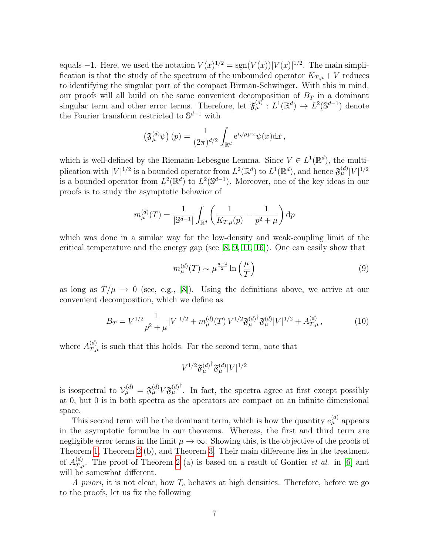equals  $-1$ . Here, we used the notation  $V(x)^{1/2} = \text{sgn}(V(x)) |V(x)|^{1/2}$ . The main simplification is that the study of the spectrum of the unbounded operator  $K_{T,\mu} + V$  reduces to identifying the singular part of the compact Birman-Schwinger. With this in mind, our proofs will all build on the same convenient decomposition of  $B_T$  in a dominant singular term and other error terms. Therefore, let  $\mathfrak{F}_{\mu}^{(d)} : L^1(\mathbb{R}^d) \to L^2(\mathbb{S}^{d-1})$  denote the Fourier transform restricted to  $\mathbb{S}^{d-1}$  with

$$
\left(\mathfrak{F}_{\mu}^{(d)}\psi\right)(p) = \frac{1}{(2\pi)^{d/2}} \int_{\mathbb{R}^d} e^{i\sqrt{\mu}p\cdot x} \psi(x) dx,
$$

which is well-defined by the Riemann-Lebesgue Lemma. Since  $V \in L^1(\mathbb{R}^d)$ , the multiplication with  $|V|^{1/2}$  is a bounded operator from  $L^2(\mathbb{R}^d)$  to  $L^1(\mathbb{R}^d)$ , and hence  $\mathfrak{F}_{\mu}^{(d)}|V|^{1/2}$ is a bounded operator from  $L^2(\mathbb{R}^d)$  to  $L^2(\mathbb{S}^{d-1})$ . Moreover, one of the key ideas in our proofs is to study the asymptotic behavior of

$$
m_{\mu}^{(d)}(T) = \frac{1}{|\mathbb{S}^{d-1}|} \int_{\mathbb{R}^d} \left( \frac{1}{K_{T,\mu}(p)} - \frac{1}{p^2 + \mu} \right) dp
$$

which was done in a similar way for the low-density and weak-coupling limit of the critical temperature and the energy gap (see  $[8, 9, 11, 16]$  $[8, 9, 11, 16]$  $[8, 9, 11, 16]$  $[8, 9, 11, 16]$ ). One can easily show that

<span id="page-6-0"></span>
$$
m_{\mu}^{(d)}(T) \sim \mu^{\frac{d-2}{2}} \ln\left(\frac{\mu}{T}\right)
$$
\n(9)

as long as  $T/\mu \to 0$  (see, e.g., [\[8\]](#page-13-3)). Using the definitions above, we arrive at our convenient decomposition, which we define as

<span id="page-6-1"></span>
$$
B_T = V^{1/2} \frac{1}{p^2 + \mu} |V|^{1/2} + m_{\mu}^{(d)}(T) V^{1/2} \mathfrak{F}_{\mu}^{(d)^\dagger} \mathfrak{F}_{\mu}^{(d)} |V|^{1/2} + A_{T,\mu}^{(d)}, \tag{10}
$$

where  $A_{T,\mu}^{(d)}$  is such that this holds. For the second term, note that

$$
V^{1/2} {\mathfrak{F}^{(d)}_\mu}^\dagger \mathfrak{F}^{(d)}_\mu |V|^{1/2}
$$

is isospectral to  $\mathcal{V}_{\mu}^{(d)} = \mathfrak{F}_{\mu}^{(d)} V \mathfrak{F}_{\mu}^{(d)}$ <sup>†</sup>. In fact, the spectra agree at first except possibly at 0, but 0 is in both spectra as the operators are compact on an infinite dimensional space.

This second term will be the dominant term, which is how the quantity  $e_{\mu}^{(d)}$  appears in the asymptotic formulae in our theorems. Whereas, the first and third term are negligible error terms in the limit  $\mu \to \infty$ . Showing this, is the objective of the proofs of Theorem [1,](#page-3-0) Theorem [2](#page-4-1) (b), and Theorem [3.](#page-5-0) Their main difference lies in the treatment of  $A_{T,\mu}^{(d)}$ . The proof of Theorem [2](#page-4-1) (a) is based on a result of Gontier *et al.* in [\[6\]](#page-13-7) and will be somewhat different.

A priori, it is not clear, how  $T_c$  behaves at high densities. Therefore, before we go to the proofs, let us fix the following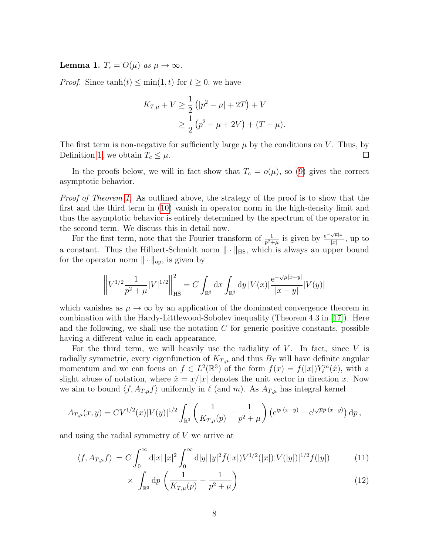<span id="page-7-2"></span>Lemma 1.  $T_c = O(\mu)$  as  $\mu \to \infty$ .

*Proof.* Since  $tanh(t) \leq min(1, t)$  for  $t \geq 0$ , we have

$$
K_{T,\mu} + V \ge \frac{1}{2} (|p^2 - \mu| + 2T) + V
$$
  
 
$$
\ge \frac{1}{2} (p^2 + \mu + 2V) + (T - \mu).
$$

The first term is non-negative for sufficiently large  $\mu$  by the conditions on V. Thus, by Definition [1,](#page-1-0) we obtain  $T_c \leq \mu$ .  $\Box$ 

In the proofs below, we will in fact show that  $T_c = o(\mu)$ , so [\(9\)](#page-6-0) gives the correct asymptotic behavior.

Proof of Theorem [1.](#page-3-0) As outlined above, the strategy of the proof is to show that the first and the third term in [\(10\)](#page-6-1) vanish in operator norm in the high-density limit and thus the asymptotic behavior is entirely determined by the spectrum of the operator in the second term. We discuss this in detail now.

For the first term, note that the Fourier transform of  $\frac{1}{p^2+\mu}$  is given by  $\frac{e^{-\sqrt{\mu}|x|}}{|x|}$  $\frac{\sqrt{\mu|x|}}{|x|}$ , up to a constant. Thus the Hilbert-Schmidt norm  $\|\cdot\|_{\text{HS}}$ , which is always an upper bound for the operator norm  $\|\cdot\|_{\text{op}}$ , is given by

$$
\left\|V^{1/2}\frac{1}{p^2+\mu}|V|^{1/2}\right\|_{\mathrm{HS}}^2=C\int_{\mathbb{R}^3}\mathrm{d} x\int_{\mathbb{R}^3}\mathrm{d} y\,|V(x)|\frac{\mathrm{e}^{-\sqrt{\mu}|x-y|}}{|x-y|}|V(y)|
$$

which vanishes as  $\mu \to \infty$  by an application of the dominated convergence theorem in combination with the Hardy-Littlewood-Sobolev inequality (Theorem 4.3 in [\[17\]](#page-14-4)). Here and the following, we shall use the notation  $C$  for generic positive constants, possible having a different value in each appearance.

For the third term, we will heavily use the radiality of  $V$ . In fact, since  $V$  is radially symmetric, every eigenfunction of  $K_{T,\mu}$  and thus  $B_T$  will have definite angular momentum and we can focus on  $f \in L^2(\mathbb{R}^3)$  of the form  $f(x) = f(|x|)Y_{\ell}^m(\hat{x})$ , with a slight abuse of notation, where  $\hat{x} = x/|x|$  denotes the unit vector in direction x. Now we aim to bound  $\langle f, A_{T,\mu}f \rangle$  uniformly in  $\ell$  (and m). As  $A_{T,\mu}$  has integral kernel

$$
A_{T,\mu}(x,y) = CV^{1/2}(x)|V(y)|^{1/2} \int_{\mathbb{R}^3} \left( \frac{1}{K_{T,\mu}(p)} - \frac{1}{p^2 + \mu} \right) \left( e^{ip \cdot (x-y)} - e^{i\sqrt{\mu}\hat{p} \cdot (x-y)} \right) dp,
$$

and using the radial symmetry of V we arrive at

$$
\langle f, A_{T,\mu} f \rangle = C \int_0^\infty d|x| \, |x|^2 \int_0^\infty d|y| \, |y|^2 \bar{f}(|x|) V^{1/2}(|x|) |V(|y|)|^{1/2} f(|y|) \tag{11}
$$

<span id="page-7-1"></span><span id="page-7-0"></span>
$$
\times \int_{\mathbb{R}^3} dp \left( \frac{1}{K_{T,\mu}(p)} - \frac{1}{p^2 + \mu} \right) \tag{12}
$$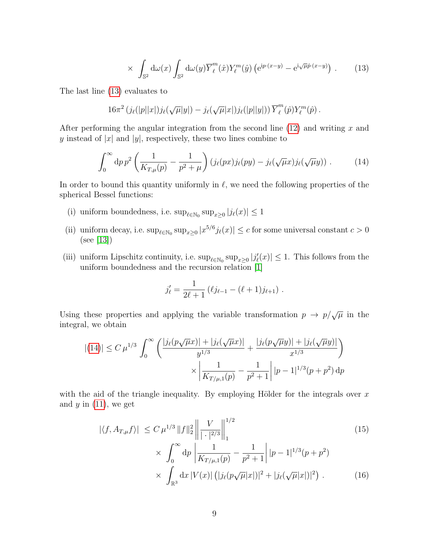<span id="page-8-0"></span>
$$
\times \int_{\mathbb{S}^2} d\omega(x) \int_{\mathbb{S}^2} d\omega(y) \overline{Y}_{\ell}^m(\hat{x}) Y_{\ell}^m(\hat{y}) \left( e^{ip \cdot (x-y)} - e^{i \sqrt{\mu} \hat{p} \cdot (x-y)} \right) . \tag{13}
$$

The last line [\(13\)](#page-8-0) evaluates to

$$
16\pi^2 \left(j_\ell(|p||x|)j_\ell(\sqrt{\mu}|y|) - j_\ell(\sqrt{\mu}|x|)j_\ell(|p||y|) \right) \overline{Y}^m_\ell(\hat{p})Y^m_\ell(\hat{p}) .
$$

After performing the angular integration from the second line  $(12)$  and writing x and y instead of |x| and |y|, respectively, these two lines combine to

<span id="page-8-1"></span>
$$
\int_0^\infty dp \, p^2 \left( \frac{1}{K_{T,\mu}(p)} - \frac{1}{p^2 + \mu} \right) \left( j_\ell(px) j_\ell(py) - j_\ell(\sqrt{\mu}x) j_\ell(\sqrt{\mu}y) \right) \,. \tag{14}
$$

In order to bound this quantity uniformly in  $\ell$ , we need the following properties of the spherical Bessel functions:

- (i) uniform boundedness, i.e.  $\sup_{\ell \in \mathbb{N}_0} \sup_{x \geq 0} |j_{\ell}(x)| \leq 1$
- (ii) uniform decay, i.e.  $\sup_{\ell \in \mathbb{N}_0} \sup_{x \geq 0} |x^{5/6} j_{\ell}(x)| \leq c$  for some universal constant  $c > 0$ (see [\[13\]](#page-13-11))
- (iii) uniform Lipschitz continuity, i.e.  $\sup_{\ell \in \mathbb{N}_0} \sup_{x\geq 0} |j'_{\ell}(x)| \leq 1$ . This follows from the uniform boundedness and the recursion relation [\[1\]](#page-13-12)

<span id="page-8-2"></span>
$$
j'_{\ell} = \frac{1}{2\ell+1} (\ell j_{\ell-1} - (\ell+1)j_{\ell+1}).
$$

Using these properties and applying the variable transformation  $p \to p/\sqrt{\mu}$  in the integral, we obtain

$$
|(14)| \leq C \,\mu^{1/3} \int_0^\infty \left( \frac{|j_\ell(p\sqrt{\mu}x)| + |j_\ell(\sqrt{\mu}x)|}{y^{1/3}} + \frac{|j_\ell(p\sqrt{\mu}y)| + |j_\ell(\sqrt{\mu}y)|}{x^{1/3}} \right) \times \left| \frac{1}{K_{T/\mu,1}(p)} - \frac{1}{p^2 + 1} \right| |p - 1|^{1/3} (p + p^2) \, \mathrm{d}p
$$

with the aid of the triangle inequality. By employing Hölder for the integrals over  $x$ and  $y$  in  $(11)$ , we get

<span id="page-8-3"></span>
$$
|\langle f, A_{T,\mu} f \rangle| \le C \mu^{1/3} \|f\|_2^2 \left\| \frac{V}{|\cdot|^{2/3}} \right\|_1^{1/2}
$$
\n
$$
\times \int_0^\infty dp \left| \frac{1}{K_{T/\mu,1}(p)} - \frac{1}{p^2 + 1} \right| |p - 1|^{1/3} (p + p^2)
$$
\n
$$
\times \int_{\mathbb{R}^3} dx \, |V(x)| \left( |j_\ell(p\sqrt{\mu}|x|)|^2 + |j_\ell(\sqrt{\mu}|x|)|^2 \right) . \tag{16}
$$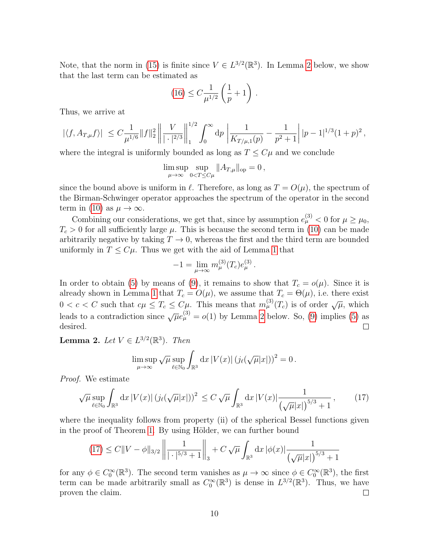Note, that the norm in [\(15\)](#page-8-2) is finite since  $V \in L^{3/2}(\mathbb{R}^3)$ . In Lemma [2](#page-9-0) below, we show that the last term can be estimated as

$$
(16) \le C \frac{1}{\mu^{1/2}} \left( \frac{1}{p} + 1 \right) \, .
$$

Thus, we arrive at

$$
|\langle f, A_{T,\mu}f \rangle| \leq C \frac{1}{\mu^{1/6}} \|f\|_2^2 \left\| \frac{V}{|\cdot|^{2/3}} \right\|_1^{1/2} \int_0^\infty dp \left\| \frac{1}{K_{T/\mu,1}(p)} - \frac{1}{p^2 + 1} \right| |p-1|^{1/3} (1+p)^2,
$$

where the integral is uniformly bounded as long as  $T \leq C\mu$  and we conclude

$$
\limsup_{\mu \to \infty} \sup_{0 < T \le C\mu} ||A_{T,\mu}||_{\text{op}} = 0,
$$

since the bound above is uniform in  $\ell$ . Therefore, as long as  $T = O(\mu)$ , the spectrum of the Birman-Schwinger operator approaches the spectrum of the operator in the second term in [\(10\)](#page-6-1) as  $\mu \to \infty$ .

Combining our considerations, we get that, since by assumption  $e_{\mu}^{(3)} < 0$  for  $\mu \ge \mu_0$ ,  $T_c > 0$  for all sufficiently large  $\mu$ . This is because the second term in [\(10\)](#page-6-1) can be made arbitrarily negative by taking  $T \to 0$ , whereas the first and the third term are bounded uniformly in  $T \leq C\mu$ . Thus we get with the aid of Lemma [1](#page-7-2) that

<span id="page-9-1"></span>
$$
-1 = \lim_{\mu \to \infty} m_{\mu}^{(3)}(T_c) e_{\mu}^{(3)}.
$$

In order to obtain [\(5\)](#page-3-3) by means of [\(9\)](#page-6-0), it remains to show that  $T_c = o(\mu)$ . Since it is already shown in Lemma [1](#page-7-2) that  $T_c = O(\mu)$ , we assume that  $T_c = \Theta(\mu)$ , i.e. there exist  $0 < c < C$  such that  $c\mu \leq T_c \leq C\mu$ . This means that  $m_{\mu}^{(3)}(T_c)$  is of order  $\sqrt{\mu}$ , which leads to a contradiction since  $\sqrt{\mu}e_{\mu}^{(3)} = o(1)$  by Lemma [2](#page-9-0) below. So, [\(9\)](#page-6-0) implies [\(5\)](#page-3-3) as desired.  $\Box$ 

<span id="page-9-0"></span>**Lemma 2.** Let  $V \in L^{3/2}(\mathbb{R}^3)$ . Then

$$
\limsup_{\mu \to \infty} \sqrt{\mu} \sup_{\ell \in \mathbb{N}_0} \int_{\mathbb{R}^3} dx |V(x)| \left( j_{\ell}(\sqrt{\mu}|x|) \right)^2 = 0.
$$

Proof. We estimate

$$
\sqrt{\mu} \sup_{\ell \in \mathbb{N}_0} \int_{\mathbb{R}^3} dx \, |V(x)| \, \left(j_\ell(\sqrt{\mu}|x|)\right)^2 \le C \sqrt{\mu} \int_{\mathbb{R}^3} dx \, |V(x)| \frac{1}{\left(\sqrt{\mu}|x|\right)^{5/3} + 1},\tag{17}
$$

where the inequality follows from property (ii) of the spherical Bessel functions given in the proof of Theorem [1.](#page-3-0) By using Hölder, we can further bound

$$
(17) \le C\|V - \phi\|_{3/2} \left\| \frac{1}{|\cdot|^{5/3} + 1} \right\|_{3} + C\sqrt{\mu} \int_{\mathbb{R}^3} dx \, |\phi(x)| \frac{1}{\left(\sqrt{\mu}|x|\right)^{5/3} + 1}
$$

for any  $\phi \in C_0^{\infty}(\mathbb{R}^3)$ . The second term vanishes as  $\mu \to \infty$  since  $\phi \in C_0^{\infty}(\mathbb{R}^3)$ , the first term can be made arbitrarily small as  $C_0^{\infty}(\mathbb{R}^3)$  is dense in  $L^{3/2}(\mathbb{R}^3)$ . Thus, we have proven the claim.  $\Box$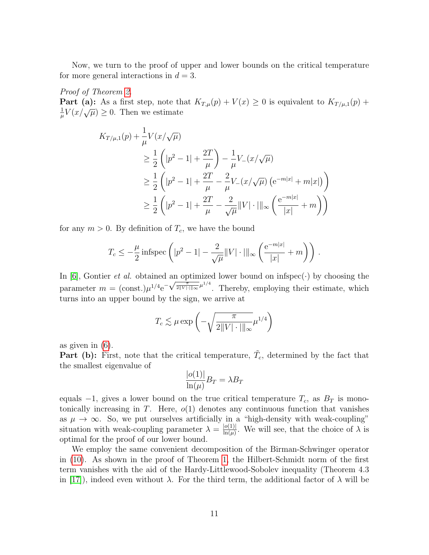Now, we turn to the proof of upper and lower bounds on the critical temperature for more general interactions in  $d = 3$ .

Proof of Theorem [2.](#page-4-1) **Part (a):** As a first step, note that  $K_{T,\mu}(p) + V(x) \geq 0$  is equivalent to  $K_{T/\mu,1}(p)$  + 1 **EXECUTE:** The step, note on<br> $\frac{1}{\mu}V(x/\sqrt{\mu}) \geq 0$ . Then we estimate

$$
K_{T/\mu,1}(p) + \frac{1}{\mu} V(x/\sqrt{\mu})
$$
  
\n
$$
\geq \frac{1}{2} \left( |p^2 - 1| + \frac{2T}{\mu} \right) - \frac{1}{\mu} V_{-}(x/\sqrt{\mu})
$$
  
\n
$$
\geq \frac{1}{2} \left( |p^2 - 1| + \frac{2T}{\mu} - \frac{2}{\mu} V_{-}(x/\sqrt{\mu}) \left( e^{-m|x|} + m|x| \right) \right)
$$
  
\n
$$
\geq \frac{1}{2} \left( |p^2 - 1| + \frac{2T}{\mu} - \frac{2}{\sqrt{\mu}} ||V| \cdot |||_{\infty} \left( \frac{e^{-m|x|}}{|x|} + m \right) \right)
$$

for any  $m > 0$ . By definition of  $T_c$ , we have the bound

$$
T_c \le -\frac{\mu}{2} \operatorname{infspec}\left( |p^2 - 1| - \frac{2}{\sqrt{\mu}} ||V| \cdot |||_{\infty} \left( \frac{e^{-m|x|}}{|x|} + m \right) \right).
$$

In [\[6\]](#page-13-7), Gontier *et al.* obtained an optimized lower bound on infspec $(\cdot)$  by choosing the In [0], Gontier *et al.* obtained an optimized lower bound on intspec(·) by choosing the parameter  $m = (\text{const.}) \mu^{1/4} e^{-\sqrt{\frac{\pi}{2||V|| \cdot ||\infty}} \mu^{1/4}}$ . Thereby, employing their estimate, which turns into an upper bound by the sign, we arrive at

$$
T_c \lesssim \mu \exp\left(-\sqrt{\frac{\pi}{2||V|\cdot|||_{\infty}}}\mu^{1/4}\right)
$$

as given in [\(6\)](#page-4-2).

**Part (b):** First, note that the critical temperature,  $\tilde{T}_c$ , determined by the fact that the smallest eigenvalue of  $|1 - \lambda|$ 

$$
\frac{|o(1)|}{\ln(\mu)}B_T = \lambda B_T
$$

equals  $-1$ , gives a lower bound on the true critical temperature  $T_c$ , as  $B_T$  is monotonically increasing in T. Here,  $o(1)$  denotes any continuous function that vanishes as  $\mu \to \infty$ . So, we put ourselves artificially in a "high-density with weak-coupling" situation with weak-coupling parameter  $\lambda = \frac{|o(1)|}{\ln(u)}$  $\frac{\log(1)}{\ln(\mu)}$ . We will see, that the choice of  $\lambda$  is optimal for the proof of our lower bound.

We employ the same convenient decomposition of the Birman-Schwinger operator in [\(10\)](#page-6-1). As shown in the proof of Theorem [1,](#page-3-0) the Hilbert-Schmidt norm of the first term vanishes with the aid of the Hardy-Littlewood-Sobolev inequality (Theorem 4.3 in [\[17\]](#page-14-4)), indeed even without  $\lambda$ . For the third term, the additional factor of  $\lambda$  will be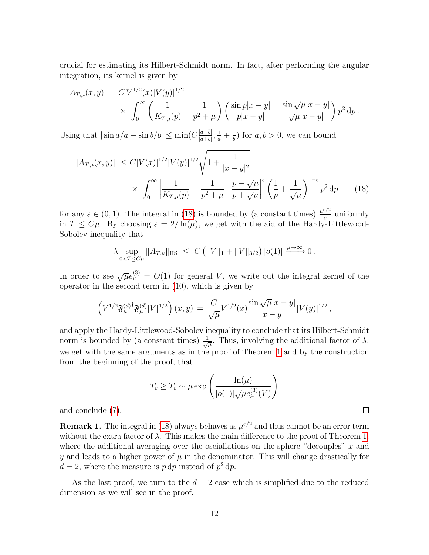crucial for estimating its Hilbert-Schmidt norm. In fact, after performing the angular integration, its kernel is given by

$$
A_{T,\mu}(x,y) = C V^{1/2}(x) |V(y)|^{1/2}
$$
  
\$\times \int\_0^\infty \left( \frac{1}{K\_{T,\mu}(p)} - \frac{1}{p^2 + \mu} \right) \left( \frac{\sin p|x-y|}{p|x-y|} - \frac{\sin \sqrt{\mu}|x-y|}{\sqrt{\mu}|x-y|} \right) p^2 dp.\$

Using that  $|\sin a/a - \sin b/b| \leq \min(C \frac{|a-b|}{|a+b|})$  $\frac{|a-b|}{|a+b|}, \frac{1}{a}+\frac{1}{b}$  $\frac{1}{b}$ ) for  $a, b > 0$ , we can bound

$$
|A_{T,\mu}(x,y)| \le C|V(x)|^{1/2}|V(y)|^{1/2}\sqrt{1+\frac{1}{|x-y|^2}}\times \int_0^\infty \left|\frac{1}{K_{T,\mu}(p)} - \frac{1}{p^2+\mu}\right| \left|\frac{p-\sqrt{\mu}}{p+\sqrt{\mu}}\right|^\varepsilon \left(\frac{1}{p} + \frac{1}{\sqrt{\mu}}\right)^{1-\varepsilon} p^2 dp \qquad (18)
$$

for any  $\varepsilon \in (0,1)$ . The integral in [\(18\)](#page-11-0) is bounded by (a constant times)  $\frac{\mu^{\varepsilon/2}}{\varepsilon}$  $\frac{\varepsilon}{\varepsilon}$  uniformly in  $T \n\leq C\mu$ . By choosing  $\varepsilon = 2/\ln(\mu)$ , we get with the aid of the Hardy-Littlewood-Sobolev inequality that

$$
\lambda \sup_{0 < T \le C\mu} \|A_{T,\mu}\|_{\text{HS}} \ \le C \left( \|V\|_1 + \|V\|_{3/2} \right) |o(1)| \xrightarrow{\mu \to \infty} 0 \, .
$$

In order to see  $\sqrt{\mu}e_{\mu}^{(3)} = O(1)$  for general V, we write out the integral kernel of the operator in the second term in [\(10\)](#page-6-1), which is given by

$$
\left(V^{1/2}\mathfrak{F}^{(d)^\dagger}_{\mu}\mathfrak{F}^{(d)}_{\mu}|V|^{1/2}\right)(x,y) \,=\, \frac{C}{\sqrt{\mu}}V^{1/2}(x)\frac{\sin\sqrt{\mu}|x-y|}{|x-y|}|V(y)|^{1/2}\,,
$$

and apply the Hardy-Littlewood-Sobolev inequality to conclude that its Hilbert-Schmidt norm is bounded by (a constant times)  $\frac{1}{\sqrt{\mu}}$ . Thus, involving the additional factor of  $\lambda$ , we get with the same arguments as in the proof of Theorem [1](#page-3-0) and by the construction from the beginning of the proof, that

$$
T_c \geq \tilde{T}_c \sim \mu \exp\left(\frac{\ln(\mu)}{|o(1)|\sqrt{\mu}e_{\mu}^{(3)}(V)}\right)
$$

<span id="page-11-0"></span> $\Box$ 

and conclude [\(7\)](#page-4-3).

**Remark 1.** The integral in [\(18\)](#page-11-0) always behaves as  $\mu^{\varepsilon/2}$  and thus cannot be an error term without the extra factor of  $\lambda$ . This makes the main difference to the proof of Theorem [1,](#page-3-0) where the additional averaging over the osciallations on the sphere "decouples"  $x$  and  $\gamma$  and leads to a higher power of  $\mu$  in the denominator. This will change drastically for  $d=2$ , where the measure is  $p dp$  instead of  $p^2 dp$ .

As the last proof, we turn to the  $d = 2$  case which is simplified due to the reduced dimension as we will see in the proof.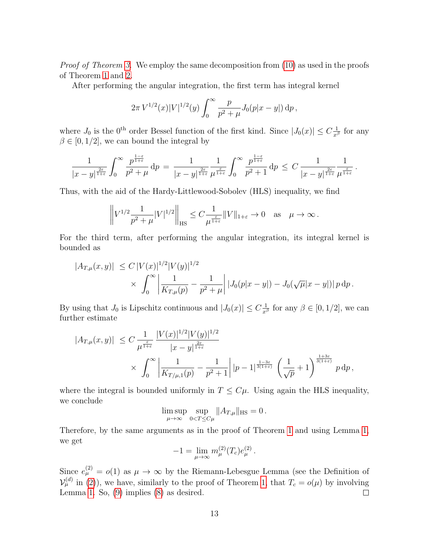Proof of Theorem [3.](#page-5-0) We employ the same decomposition from [\(10\)](#page-6-1) as used in the proofs of Theorem [1](#page-3-0) and [2.](#page-4-1)

After performing the angular integration, the first term has integral kernel

$$
2\pi V^{1/2}(x)|V|^{1/2}(y)\int_0^\infty \frac{p}{p^2+\mu}J_0(p|x-y|)\,\mathrm{d}p\,,
$$

where  $J_0$  is the 0<sup>th</sup> order Bessel function of the first kind. Since  $|J_0(x)| \leq C \frac{1}{x^{\beta}}$  for any  $\beta \in [0, 1/2]$ , we can bound the integral by

$$
\frac{1}{|x-y|^{\frac{2\varepsilon}{1+\varepsilon}}}\int_0^\infty \frac{p^{\frac{1-\varepsilon}{1+\varepsilon}}}{p^2+\mu}\,\mathrm{d}p\,=\,\frac{1}{|x-y|^{\frac{2\varepsilon}{1+\varepsilon}}}\frac{1}{\mu^{\frac{\varepsilon}{1+\varepsilon}}}\int_0^\infty \frac{p^{\frac{1-\varepsilon}{1+\varepsilon}}}{p^2+1}\,\mathrm{d}p\,\leq\,C\,\frac{1}{|x-y|^{\frac{2\varepsilon}{1+\varepsilon}}}\frac{1}{\mu^{\frac{\varepsilon}{1+\varepsilon}}}
$$

.

Thus, with the aid of the Hardy-Littlewood-Sobolev (HLS) inequality, we find

$$
\left\| V^{1/2} \frac{1}{p^2 + \mu} |V|^{1/2} \right\|_{\text{HS}} \leq C \frac{1}{\mu^{\frac{\varepsilon}{1+\varepsilon}}} \|V\|_{1+\varepsilon} \to 0 \quad \text{as} \quad \mu \to \infty \, .
$$

For the third term, after performing the angular integration, its integral kernel is bounded as

$$
|A_{T,\mu}(x,y)| \le C |V(x)|^{1/2} |V(y)|^{1/2}
$$
  
 
$$
\times \int_0^\infty \left| \frac{1}{K_{T,\mu}(p)} - \frac{1}{p^2 + \mu} \right| |J_0(p|x-y|) - J_0(\sqrt{\mu}|x-y|) |p \,dp.
$$

By using that  $J_0$  is Lipschitz continuous and  $|J_0(x)| \leq C \frac{1}{x^{\beta}}$  for any  $\beta \in [0, 1/2]$ , we can further estimate

$$
|A_{T,\mu}(x,y)| \leq C \frac{1}{\mu^{\frac{\varepsilon}{1+\varepsilon}}} \frac{|V(x)|^{1/2} |V(y)|^{1/2}}{|x-y|^{\frac{2\varepsilon}{1+\varepsilon}}}
$$
  
 
$$
\times \int_0^\infty \left| \frac{1}{K_{T/\mu,1}(p)} - \frac{1}{p^2 + 1} \right| |p-1|^{\frac{1-3\varepsilon}{3(1+\varepsilon)}} \left(\frac{1}{\sqrt{p}} + 1\right)^{\frac{1+3\varepsilon}{3(1+\varepsilon)}} p \, dp,
$$

where the integral is bounded uniformly in  $T \leq C\mu$ . Using again the HLS inequality, we conclude

$$
\limsup_{\mu \to \infty} \sup_{0 < T \le C\mu} ||A_{T,\mu}||_{\text{HS}} = 0.
$$

Therefore, by the same arguments as in the proof of Theorem [1](#page-3-0) and using Lemma [1,](#page-7-2) we get

$$
-1 = \lim_{\mu \to \infty} m_{\mu}^{(2)}(T_c) e_{\mu}^{(2)}.
$$

Since  $e^{(2)}_{\mu} = o(1)$  as  $\mu \to \infty$  by the Riemann-Lebesgue Lemma (see the Definition of  $\mathcal{V}_{\mu}^{(d)}$  in [\(2\)](#page-2-0)), we have, similarly to the proof of Theorem [1,](#page-3-0) that  $T_c = o(\mu)$  by involving Lemma [1.](#page-7-2) So, [\(9\)](#page-6-0) implies [\(8\)](#page-5-1) as desired.  $\Box$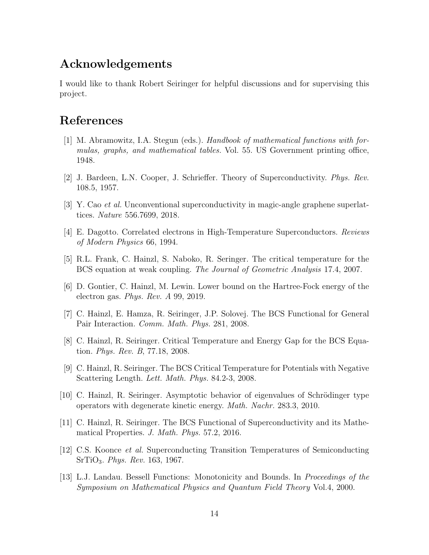### Acknowledgements

I would like to thank Robert Seiringer for helpful discussions and for supervising this project.

## References

- <span id="page-13-12"></span>[1] M. Abramowitz, I.A. Stegun (eds.). Handbook of mathematical functions with formulas, graphs, and mathematical tables. Vol. 55. US Government printing office, 1948.
- <span id="page-13-0"></span>[2] J. Bardeen, L.N. Cooper, J. Schrieffer. Theory of Superconductivity. Phys. Rev. 108.5, 1957.
- <span id="page-13-6"></span>[3] Y. Cao et al. Unconventional superconductivity in magic-angle graphene superlattices. Nature 556.7699, 2018.
- <span id="page-13-5"></span>[4] E. Dagotto. Correlated electrons in High-Temperature Superconductors. Reviews of Modern Physics 66, 1994.
- <span id="page-13-2"></span>[5] R.L. Frank, C. Hainzl, S. Naboko, R. Seringer. The critical temperature for the BCS equation at weak coupling. The Journal of Geometric Analysis 17.4, 2007.
- <span id="page-13-7"></span>[6] D. Gontier, C. Hainzl, M. Lewin. Lower bound on the Hartree-Fock energy of the electron gas. Phys. Rev. A 99, 2019.
- <span id="page-13-8"></span>[7] C. Hainzl, E. Hamza, R. Seiringer, J.P. Solovej. The BCS Functional for General Pair Interaction. Comm. Math. Phys. 281, 2008.
- <span id="page-13-3"></span>[8] C. Hainzl, R. Seiringer. Critical Temperature and Energy Gap for the BCS Equation. Phys. Rev. B, 77.18, 2008.
- <span id="page-13-1"></span>[9] C. Hainzl, R. Seiringer. The BCS Critical Temperature for Potentials with Negative Scattering Length. Lett. Math. Phys. 84.2-3, 2008.
- <span id="page-13-10"></span>[10] C. Hainzl, R. Seiringer. Asymptotic behavior of eigenvalues of Schrödinger type operators with degenerate kinetic energy. Math. Nachr. 283.3, 2010.
- <span id="page-13-9"></span>[11] C. Hainzl, R. Seiringer. The BCS Functional of Superconductivity and its Mathematical Properties. J. Math. Phys. 57.2, 2016.
- <span id="page-13-4"></span>[12] C.S. Koonce et al. Superconducting Transition Temperatures of Semiconducting SrTiO3. Phys. Rev. 163, 1967.
- <span id="page-13-11"></span>[13] L.J. Landau. Bessell Functions: Monotonicity and Bounds. In Proceedings of the Symposium on Mathematical Physics and Quantum Field Theory Vol.4, 2000.